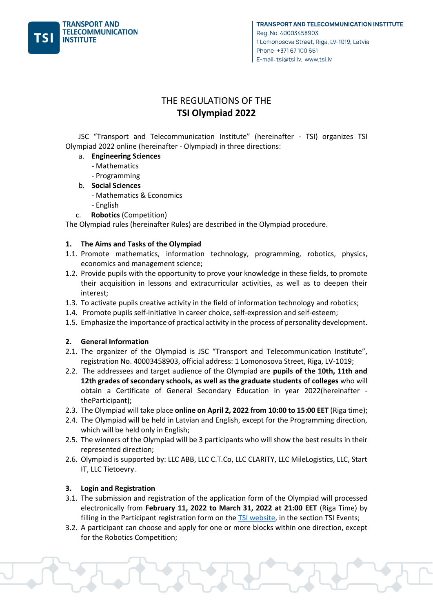

# THE REGULATIONS OF THE **TSI Olympiad 2022**

JSC "Transport and Telecommunication Institute" (hereinafter - TSI) organizes TSI Olympiad 2022 online (hereinafter - Olympiad) in three directions:

- a. **Engineering Sciences**
	- Mathematics
	- Programming
- b. **Social Sciences**
	- Mathematics & Economics
	- English
- c. **Robotics** (Competition)

The Olympiad rules (hereinafter Rules) are described in the Olympiad procedure.

#### **1. The Aims and Tasks of the Olympiad**

- 1.1. Promote mathematics, information technology, programming, robotics, physics, economics and management science;
- 1.2. Provide pupils with the opportunity to prove your knowledge in these fields, to promote their acquisition in lessons and extracurricular activities, as well as to deepen their interest;
- 1.3. To activate pupils creative activity in the field of information technology and robotics;
- 1.4. Promote pupils self-initiative in career choice, self-expression and self-esteem;
- 1.5. Emphasize the importance of practical activity in the process of personality development.

#### **2. General Information**

- 2.1. The organizer of the Olympiad is JSC "Transport and Telecommunication Institute", registration No. 40003458903, official address: 1 Lomonosova Street, Riga, LV-1019;
- 2.2. The addressees and target audience of the Olympiad are **pupils of the 10th, 11th and 12th grades of secondary schools, as well as the graduate students of colleges** who will obtain a Certificate of General Secondary Education in year 2022(hereinafter theParticipant);
- 2.3. The Olympiad will take place **online on April 2, 2022 from 10:00 to 15:00 EET** (Riga time);
- 2.4. The Olympiad will be held in Latvian and English, except for the Programming direction, which will be held only in English;
- 2.5. The winners of the Olympiad will be 3 participants who will show the best results in their represented direction;
- 2.6. Olympiad is supported by: LLC ABB, LLC C.T.Co, LLC CLARITY, LLC MileLogistics, LLC, Start IT, LLC Tietoevry.

## **3. Login and Registration**

- 3.1. The submission and registration of the application form of the Olympiad will processed electronically from **February 11, 2022 to March 31, 2022 at 21:00 EET** (Riga Time) by filling in the Participant registration form on the **TSI website**, in the section TSI Events;
- 3.2. A participant can choose and apply for one or more blocks within one direction, except for the Robotics Competition;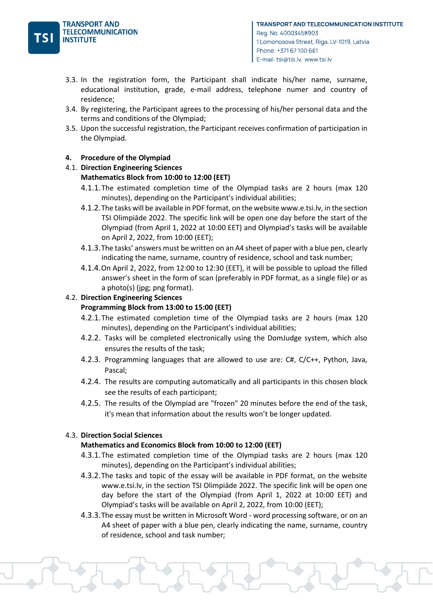

- 3.3. In the registration form, the Participant shall indicate his/her name, surname, educational institution, grade, e-mail address, telephone numer and country of residence;
- 3.4. By registering, the Participant agrees to the processing of his/her personal data and the terms and conditions of the Olympiad;
- 3.5. Upon the successful registration, the Participant receives confirmation of participation in the Olympiad.

## **4. Procedure of the Olympiad**

## 4.1. **Direction Engineering Sciences**

# **Mathematics Block from 10:00 to 12:00 (EET)**

- 4.1.1.The estimated completion time of the Olympiad tasks are 2 hours (max 120 minutes), depending on the Participant's individual abilities;
- 4.1.2.The tasks will be available in PDF format, on the website www.e.tsi.lv, in the section TSI Olimpiāde 2022. The specific link will be open one day before the start of the Olympiad (from April 1, 2022 at 10:00 EET) and Olympiad's tasks will be available on April 2, 2022, from 10:00 (EET);
- 4.1.3.The tasks' answers must be written on an A4 sheet of paper with a blue pen, clearly indicating the name, surname, country of residence, school and task number;
- 4.1.4.On April 2, 2022, from 12:00 to 12:30 (EET), it will be possible to upload the filled answer's sheet in the form of scan (preferably in PDF format, as a single file) or as a photo(s) (jpg; png format).

# 4.2. **Direction Engineering Sciences**

# **Programming Block from 13:00 to 15:00 (EET)**

- 4.2.1.The estimated completion time of the Olympiad tasks are 2 hours (max 120 minutes), depending on the Participant's individual abilities;
- 4.2.2. Tasks will be completed electronically using the DomJudge system, which also ensures the results of the task;
- 4.2.3. Programming languages that are allowed to use are: C#, C/C++, Python, Java, Pascal;
- 4.2.4. The results are computing automatically and all participants in this chosen block see the results of each participant;
- 4.2.5. The results of the Olympiad are "frozen" 20 minutes before the end of the task, it's mean that information about the results won't be longer updated.

## 4.3. **Direction Social Sciences**

## **Mathematics and Economics Block from 10:00 to 12:00 (EET)**

- 4.3.1.The estimated completion time of the Olympiad tasks are 2 hours (max 120 minutes), depending on the Participant's individual abilities;
- 4.3.2.The tasks and topic of the essay will be available in PDF format, on the website www.e.tsi.lv, in the section TSI Olimpiāde 2022. The specific link will be open one day before the start of the Olympiad (from April 1, 2022 at 10:00 EET) and Olympiad's tasks will be available on April 2, 2022, from 10:00 (EET);
- 4.3.3.The essay must be written in Microsoft Word word processing software, or on an A4 sheet of paper with a blue pen, clearly indicating the name, surname, country of residence, school and task number;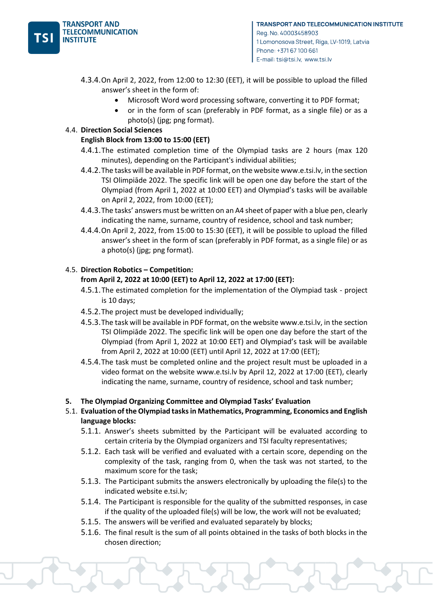

- 4.3.4.On April 2, 2022, from 12:00 to 12:30 (EET), it will be possible to upload the filled answer's sheet in the form of:
	- Microsoft Word word processing software, converting it to PDF format;
	- or in the form of scan (preferably in PDF format, as a single file) or as a photo(s) (jpg; png format).

# 4.4. **Direction Social Sciences**

## **English Block from 13:00 to 15:00 (EET)**

- 4.4.1.The estimated completion time of the Olympiad tasks are 2 hours (max 120 minutes), depending on the Participant's individual abilities;
- 4.4.2.The tasks will be available in PDF format, on the website www.e.tsi.lv, in the section TSI Olimpiāde 2022. The specific link will be open one day before the start of the Olympiad (from April 1, 2022 at 10:00 EET) and Olympiad's tasks will be available on April 2, 2022, from 10:00 (EET);
- 4.4.3.The tasks' answers must be written on an A4 sheet of paper with a blue pen, clearly indicating the name, surname, country of residence, school and task number;
- 4.4.4.On April 2, 2022, from 15:00 to 15:30 (EET), it will be possible to upload the filled answer's sheet in the form of scan (preferably in PDF format, as a single file) or as a photo(s) (jpg; png format).

# 4.5. **Direction Robotics – Competition:**

# **from April 2, 2022 at 10:00 (EET) to April 12, 2022 at 17:00 (EET):**

- 4.5.1.The estimated completion for the implementation of the Olympiad task project is 10 days;
- 4.5.2.The project must be developed individually;
- 4.5.3.The task will be available in PDF format, on the website www.e.tsi.lv, in the section TSI Olimpiāde 2022. The specific link will be open one day before the start of the Olympiad (from April 1, 2022 at 10:00 EET) and Olympiad's task will be available from April 2, 2022 at 10:00 (EET) until April 12, 2022 at 17:00 (EET);
- 4.5.4.The task must be completed online and the project result must be uploaded in a video format on the website www.e.tsi.lv by April 12, 2022 at 17:00 (EET), clearly indicating the name, surname, country of residence, school and task number;

## **5. The Olympiad Organizing Committee and Olympiad Tasks' Evaluation**

- 5.1. **Evaluation of the Olympiad tasks in Mathematics, Programming, Economics and English language blocks:**
	- 5.1.1. Answer's sheets submitted by the Participant will be evaluated according to certain criteria by the Olympiad organizers and TSI faculty representatives;
	- 5.1.2. Each task will be verified and evaluated with a certain score, depending on the complexity of the task, ranging from 0, when the task was not started, to the maximum score for the task;
	- 5.1.3. The Participant submits the answers electronically by uploading the file(s) to the indicated website e.tsi.lv;
	- 5.1.4. The Participant is responsible for the quality of the submitted responses, in case if the quality of the uploaded file(s) will be low, the work will not be evaluated;
	- 5.1.5. The answers will be verified and evaluated separately by blocks;
	- 5.1.6. The final result is the sum of all points obtained in the tasks of both blocks in the chosen direction;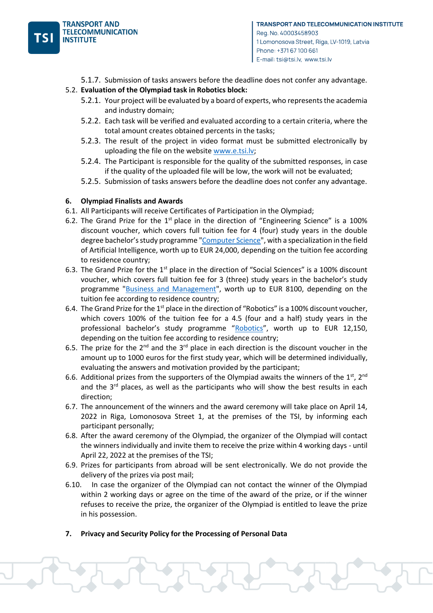

5.1.7. Submission of tasks answers before the deadline does not confer any advantage.

#### 5.2. **Evaluation of the Olympiad task in Robotics block:**

- 5.2.1. Your project will be evaluated by a board of experts, who represents the academia and industry domain;
- 5.2.2. Each task will be verified and evaluated according to a certain criteria, where the total amount creates obtained percents in the tasks;
- 5.2.3. The result of the project in video format must be submitted electronically by uploading the file on the website [www.e.tsi.lv;](http://www.e.tsi.lv/)
- 5.2.4. The Participant is responsible for the quality of the submitted responses, in case if the quality of the uploaded file will be low, the work will not be evaluated;
- 5.2.5. Submission of tasks answers before the deadline does not confer any advantage.

#### **6. Olympiad Finalists and Awards**

- 6.1. All Participants will receive Certificates of Participation in the Olympiad;
- 6.2. The Grand Prize for the  $1<sup>st</sup>$  place in the direction of "Engineering Science" is a 100% discount voucher, which covers full tuition fee for 4 (four) study years in the double degree bachelor's study programme ["Computer Science"](https://tsi.lv/study_programmes/computer-sciences-double-degree-artificial-intelligence/), with a specialization in the field of Artificial Intelligence, worth up to EUR 24,000, depending on the tuition fee according to residence country;
- 6.3. The Grand Prize for the  $1<sup>st</sup>$  place in the direction of "Social Sciences" is a 100% discount voucher, which covers full tuition fee for 3 (three) study years in the bachelor's study programme ["Business and Management"](https://tsi.lv/study_programmes/business-and-management-bachelor/), worth up to EUR 8100, depending on the tuition fee according to residence country;
- 6.4. The Grand Prize for the 1<sup>st</sup> place in the direction of "Robotics" is a 100% discount voucher, which covers 100% of the tuition fee for a 4.5 (four and a half) study years in the professional bachelor's study programme "[Robotics](https://tsi.lv/study_programmes/robotics/)", worth up to EUR 12,150, depending on the tuition fee according to residence country;
- 6.5. The prize for the  $2^{nd}$  and the  $3^{rd}$  place in each direction is the discount voucher in the amount up to 1000 euros for the first study year, which will be determined individually, evaluating the answers and motivation provided by the participant;
- 6.6. Additional prizes from the supporters of the Olympiad awaits the winners of the 1<sup>st</sup>, 2<sup>nd</sup> and the  $3<sup>rd</sup>$  places, as well as the participants who will show the best results in each direction;
- 6.7. The announcement of the winners and the award ceremony will take place on April 14, 2022 in Riga, Lomonosova Street 1, at the premises of the TSI, by informing each participant personally;
- 6.8. After the award ceremony of the Olympiad, the organizer of the Olympiad will contact the winners individually and invite them to receive the prize within 4 working days - until April 22, 2022 at the premises of the TSI;
- 6.9. Prizes for participants from abroad will be sent electronically. We do not provide the delivery of the prizes via post mail;
- 6.10. In case the organizer of the Olympiad can not contact the winner of the Olympiad within 2 working days or agree on the time of the award of the prize, or if the winner refuses to receive the prize, the organizer of the Olympiad is entitled to leave the prize in his possession.
- **7. Privacy and Security Policy for the Processing of Personal Data**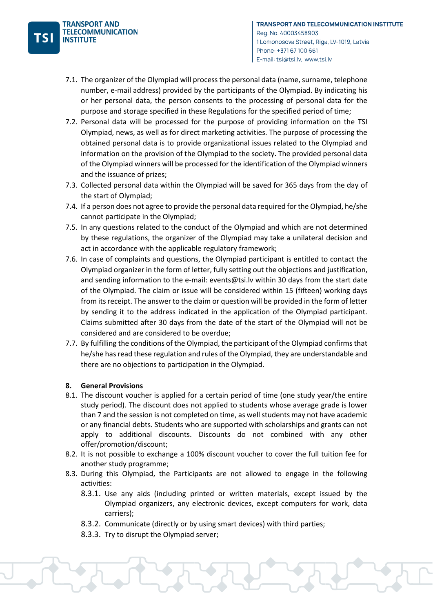- 7.1. The organizer of the Olympiad will process the personal data (name, surname, telephone number, e-mail address) provided by the participants of the Olympiad. By indicating his or her personal data, the person consents to the processing of personal data for the purpose and storage specified in these Regulations for the specified period of time;
- 7.2. Personal data will be processed for the purpose of providing information on the TSI Olympiad, news, as well as for direct marketing activities. The purpose of processing the obtained personal data is to provide organizational issues related to the Olympiad and information on the provision of the Olympiad to the society. The provided personal data of the Olympiad winners will be processed for the identification of the Olympiad winners and the issuance of prizes;
- 7.3. Collected personal data within the Olympiad will be saved for 365 days from the day of the start of Olympiad;
- 7.4. If a person does not agree to provide the personal data required for the Olympiad, he/she cannot participate in the Olympiad;
- 7.5. In any questions related to the conduct of the Olympiad and which are not determined by these regulations, the organizer of the Olympiad may take a unilateral decision and act in accordance with the applicable regulatory framework;
- 7.6. In case of complaints and questions, the Olympiad participant is entitled to contact the Olympiad organizer in the form of letter, fully setting out the objections and justification, and sending information to the e-mail: events@tsi.lv within 30 days from the start date of the Olympiad. The claim or issue will be considered within 15 (fifteen) working days from its receipt. The answer to the claim or question will be provided in the form of letter by sending it to the address indicated in the application of the Olympiad participant. Claims submitted after 30 days from the date of the start of the Olympiad will not be considered and are considered to be overdue;
- 7.7. By fulfilling the conditions of the Olympiad, the participant of the Olympiad confirms that he/she has read these regulation and rules of the Olympiad, they are understandable and there are no objections to participation in the Olympiad.

## **8. General Provisions**

- 8.1. The discount voucher is applied for a certain period of time (one study year/the entire study period). The discount does not applied to students whose average grade is lower than 7 and the session is not completed on time, as well students may not have academic or any financial debts. Students who are supported with scholarships and grants can not apply to additional discounts. Discounts do not combined with any other offer/promotion/discount;
- 8.2. It is not possible to exchange a 100% discount voucher to cover the full tuition fee for another study programme;
- 8.3. During this Olympiad, the Participants are not allowed to engage in the following activities:
	- 8.3.1. Use any aids (including printed or written materials, except issued by the Olympiad organizers, any electronic devices, except computers for work, data carriers);
	- 8.3.2. Communicate (directly or by using smart devices) with third parties;
	- 8.3.3. Try to disrupt the Olympiad server;